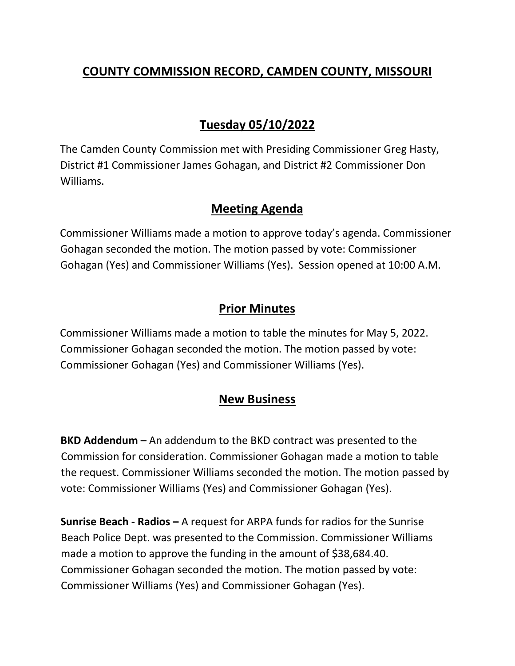# **COUNTY COMMISSION RECORD, CAMDEN COUNTY, MISSOURI**

# **Tuesday 05/10/2022**

The Camden County Commission met with Presiding Commissioner Greg Hasty, District #1 Commissioner James Gohagan, and District #2 Commissioner Don Williams.

### **Meeting Agenda**

Commissioner Williams made a motion to approve today's agenda. Commissioner Gohagan seconded the motion. The motion passed by vote: Commissioner Gohagan (Yes) and Commissioner Williams (Yes). Session opened at 10:00 A.M.

### **Prior Minutes**

Commissioner Williams made a motion to table the minutes for May 5, 2022. Commissioner Gohagan seconded the motion. The motion passed by vote: Commissioner Gohagan (Yes) and Commissioner Williams (Yes).

## **New Business**

**BKD Addendum –** An addendum to the BKD contract was presented to the Commission for consideration. Commissioner Gohagan made a motion to table the request. Commissioner Williams seconded the motion. The motion passed by vote: Commissioner Williams (Yes) and Commissioner Gohagan (Yes).

**Sunrise Beach - Radios –** A request for ARPA funds for radios for the Sunrise Beach Police Dept. was presented to the Commission. Commissioner Williams made a motion to approve the funding in the amount of \$38,684.40. Commissioner Gohagan seconded the motion. The motion passed by vote: Commissioner Williams (Yes) and Commissioner Gohagan (Yes).